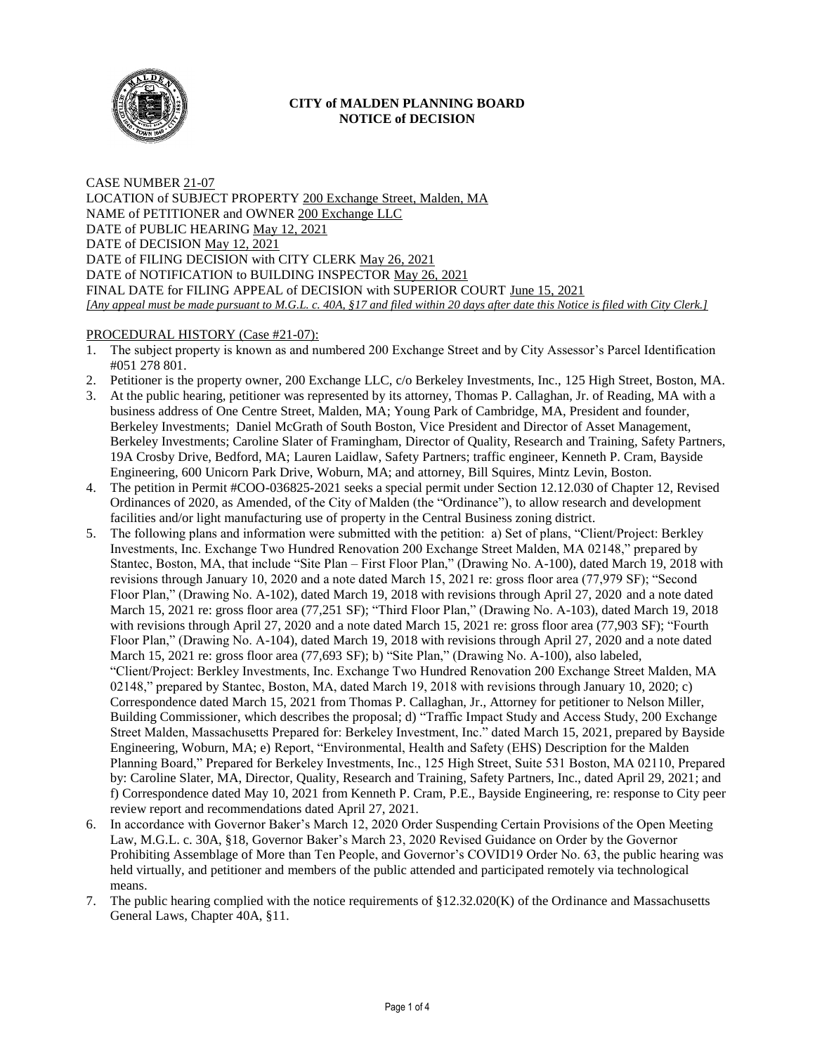

## **CITY of MALDEN PLANNING BOARD NOTICE of DECISION**

CASE NUMBER 21-07 LOCATION of SUBJECT PROPERTY 200 Exchange Street, Malden, MA NAME of PETITIONER and OWNER 200 Exchange LLC DATE of PUBLIC HEARING May 12, 2021 DATE of DECISION May 12, 2021 DATE of FILING DECISION with CITY CLERK May 26, 2021 DATE of NOTIFICATION to BUILDING INSPECTOR May 26, 2021 FINAL DATE for FILING APPEAL of DECISION with SUPERIOR COURT June 15, 2021 *[Any appeal must be made pursuant to M.G.L. c. 40A, §17 and filed within 20 days after date this Notice is filed with City Clerk.]* 

## PROCEDURAL HISTORY (Case #21-07):

- 1. The subject property is known as and numbered 200 Exchange Street and by City Assessor's Parcel Identification #051 278 801.
- 2. Petitioner is the property owner, 200 Exchange LLC, c/o Berkeley Investments, Inc., 125 High Street, Boston, MA.
- 3. At the public hearing, petitioner was represented by its attorney, Thomas P. Callaghan, Jr. of Reading, MA with a business address of One Centre Street, Malden, MA; Young Park of Cambridge, MA, President and founder, Berkeley Investments; Daniel McGrath of South Boston, Vice President and Director of Asset Management, Berkeley Investments; Caroline Slater of Framingham, Director of Quality, Research and Training, Safety Partners, 19A Crosby Drive, Bedford, MA; Lauren Laidlaw, Safety Partners; traffic engineer, Kenneth P. Cram, Bayside Engineering, 600 Unicorn Park Drive, Woburn, MA; and attorney, Bill Squires, Mintz Levin, Boston.
- 4. The petition in Permit #COO-036825-2021 seeks a special permit under Section 12.12.030 of Chapter 12, Revised Ordinances of 2020, as Amended, of the City of Malden (the "Ordinance"), to allow research and development facilities and/or light manufacturing use of property in the Central Business zoning district.
- 5. The following plans and information were submitted with the petition: a) Set of plans, "Client/Project: Berkley Investments, Inc. Exchange Two Hundred Renovation 200 Exchange Street Malden, MA 02148," prepared by Stantec, Boston, MA, that include "Site Plan – First Floor Plan," (Drawing No. A-100), dated March 19, 2018 with revisions through January 10, 2020 and a note dated March 15, 2021 re: gross floor area (77,979 SF); "Second Floor Plan," (Drawing No. A-102), dated March 19, 2018 with revisions through April 27, 2020 and a note dated March 15, 2021 re: gross floor area (77,251 SF); "Third Floor Plan," (Drawing No. A-103), dated March 19, 2018 with revisions through April 27, 2020 and a note dated March 15, 2021 re: gross floor area (77,903 SF); "Fourth Floor Plan," (Drawing No. A-104), dated March 19, 2018 with revisions through April 27, 2020 and a note dated March 15, 2021 re: gross floor area (77,693 SF); b) "Site Plan," (Drawing No. A-100), also labeled, "Client/Project: Berkley Investments, Inc. Exchange Two Hundred Renovation 200 Exchange Street Malden, MA 02148," prepared by Stantec, Boston, MA, dated March 19, 2018 with revisions through January 10, 2020; c) Correspondence dated March 15, 2021 from Thomas P. Callaghan, Jr., Attorney for petitioner to Nelson Miller, Building Commissioner, which describes the proposal; d) "Traffic Impact Study and Access Study, 200 Exchange Street Malden, Massachusetts Prepared for: Berkeley Investment, Inc." dated March 15, 2021, prepared by Bayside Engineering, Woburn, MA; e) Report, "Environmental, Health and Safety (EHS) Description for the Malden Planning Board," Prepared for Berkeley Investments, Inc., 125 High Street, Suite 531 Boston, MA 02110, Prepared by: Caroline Slater, MA, Director, Quality, Research and Training, Safety Partners, Inc., dated April 29, 2021; and f) Correspondence dated May 10, 2021 from Kenneth P. Cram, P.E., Bayside Engineering, re: response to City peer review report and recommendations dated April 27, 2021.
- 6. In accordance with Governor Baker's March 12, 2020 Order Suspending Certain Provisions of the Open Meeting Law, M.G.L. c. 30A, §18, Governor Baker's March 23, 2020 Revised Guidance on Order by the Governor Prohibiting Assemblage of More than Ten People, and Governor's COVID19 Order No. 63, the public hearing was held virtually, and petitioner and members of the public attended and participated remotely via technological means.
- 7. The public hearing complied with the notice requirements of §12.32.020(K) of the Ordinance and Massachusetts General Laws, Chapter 40A, §11.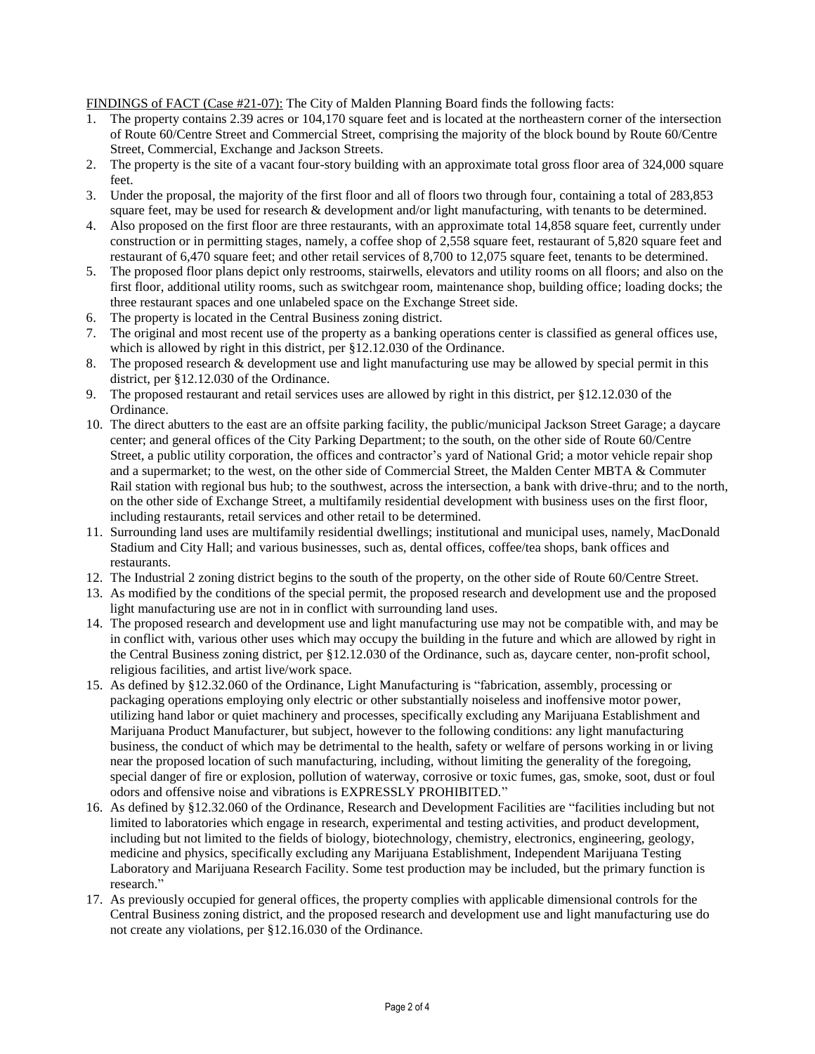FINDINGS of FACT (Case #21-07): The City of Malden Planning Board finds the following facts:

- 1. The property contains 2.39 acres or 104,170 square feet and is located at the northeastern corner of the intersection of Route 60/Centre Street and Commercial Street, comprising the majority of the block bound by Route 60/Centre Street, Commercial, Exchange and Jackson Streets.
- 2. The property is the site of a vacant four-story building with an approximate total gross floor area of 324,000 square feet.
- 3. Under the proposal, the majority of the first floor and all of floors two through four, containing a total of 283,853 square feet, may be used for research & development and/or light manufacturing, with tenants to be determined.
- 4. Also proposed on the first floor are three restaurants, with an approximate total 14,858 square feet, currently under construction or in permitting stages, namely, a coffee shop of 2,558 square feet, restaurant of 5,820 square feet and restaurant of 6,470 square feet; and other retail services of 8,700 to 12,075 square feet, tenants to be determined.
- 5. The proposed floor plans depict only restrooms, stairwells, elevators and utility rooms on all floors; and also on the first floor, additional utility rooms, such as switchgear room, maintenance shop, building office; loading docks; the three restaurant spaces and one unlabeled space on the Exchange Street side.
- 6. The property is located in the Central Business zoning district.
- 7. The original and most recent use of the property as a banking operations center is classified as general offices use, which is allowed by right in this district, per §12.12.030 of the Ordinance.
- 8. The proposed research & development use and light manufacturing use may be allowed by special permit in this district, per §12.12.030 of the Ordinance.
- 9. The proposed restaurant and retail services uses are allowed by right in this district, per §12.12.030 of the Ordinance.
- 10. The direct abutters to the east are an offsite parking facility, the public/municipal Jackson Street Garage; a daycare center; and general offices of the City Parking Department; to the south, on the other side of Route 60/Centre Street, a public utility corporation, the offices and contractor's yard of National Grid; a motor vehicle repair shop and a supermarket; to the west, on the other side of Commercial Street, the Malden Center MBTA & Commuter Rail station with regional bus hub; to the southwest, across the intersection, a bank with drive-thru; and to the north, on the other side of Exchange Street, a multifamily residential development with business uses on the first floor, including restaurants, retail services and other retail to be determined.
- 11. Surrounding land uses are multifamily residential dwellings; institutional and municipal uses, namely, MacDonald Stadium and City Hall; and various businesses, such as, dental offices, coffee/tea shops, bank offices and restaurants.
- 12. The Industrial 2 zoning district begins to the south of the property, on the other side of Route 60/Centre Street.
- 13. As modified by the conditions of the special permit, the proposed research and development use and the proposed light manufacturing use are not in in conflict with surrounding land uses.
- 14. The proposed research and development use and light manufacturing use may not be compatible with, and may be in conflict with, various other uses which may occupy the building in the future and which are allowed by right in the Central Business zoning district, per §12.12.030 of the Ordinance, such as, daycare center, non-profit school, religious facilities, and artist live/work space.
- 15. As defined by §12.32.060 of the Ordinance, Light Manufacturing is "fabrication, assembly, processing or packaging operations employing only electric or other substantially noiseless and inoffensive motor power, utilizing hand labor or quiet machinery and processes, specifically excluding any Marijuana Establishment and Marijuana Product Manufacturer, but subject, however to the following conditions: any light manufacturing business, the conduct of which may be detrimental to the health, safety or welfare of persons working in or living near the proposed location of such manufacturing, including, without limiting the generality of the foregoing, special danger of fire or explosion, pollution of waterway, corrosive or toxic fumes, gas, smoke, soot, dust or foul odors and offensive noise and vibrations is EXPRESSLY PROHIBITED."
- 16. As defined by §12.32.060 of the Ordinance, Research and Development Facilities are "facilities including but not limited to laboratories which engage in research, experimental and testing activities, and product development, including but not limited to the fields of biology, biotechnology, chemistry, electronics, engineering, geology, medicine and physics, specifically excluding any Marijuana Establishment, Independent Marijuana Testing Laboratory and Marijuana Research Facility. Some test production may be included, but the primary function is research."
- 17. As previously occupied for general offices, the property complies with applicable dimensional controls for the Central Business zoning district, and the proposed research and development use and light manufacturing use do not create any violations, per §12.16.030 of the Ordinance.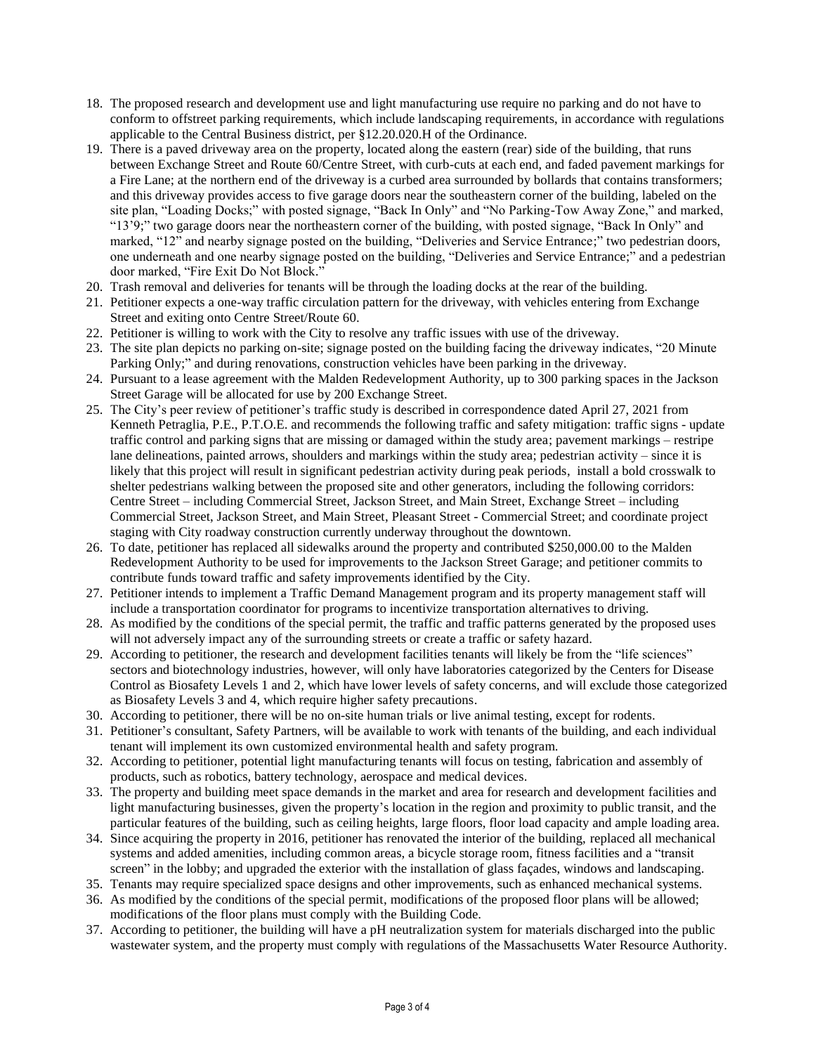- 18. The proposed research and development use and light manufacturing use require no parking and do not have to conform to offstreet parking requirements, which include landscaping requirements, in accordance with regulations applicable to the Central Business district, per §12.20.020.H of the Ordinance.
- 19. There is a paved driveway area on the property, located along the eastern (rear) side of the building, that runs between Exchange Street and Route 60/Centre Street, with curb-cuts at each end, and faded pavement markings for a Fire Lane; at the northern end of the driveway is a curbed area surrounded by bollards that contains transformers; and this driveway provides access to five garage doors near the southeastern corner of the building, labeled on the site plan, "Loading Docks;" with posted signage, "Back In Only" and "No Parking-Tow Away Zone," and marked, "13'9;" two garage doors near the northeastern corner of the building, with posted signage, "Back In Only" and marked, "12" and nearby signage posted on the building, "Deliveries and Service Entrance;" two pedestrian doors, one underneath and one nearby signage posted on the building, "Deliveries and Service Entrance;" and a pedestrian door marked, "Fire Exit Do Not Block."
- 20. Trash removal and deliveries for tenants will be through the loading docks at the rear of the building.
- 21. Petitioner expects a one-way traffic circulation pattern for the driveway, with vehicles entering from Exchange Street and exiting onto Centre Street/Route 60.
- 22. Petitioner is willing to work with the City to resolve any traffic issues with use of the driveway.
- 23. The site plan depicts no parking on-site; signage posted on the building facing the driveway indicates, "20 Minute Parking Only;" and during renovations, construction vehicles have been parking in the driveway.
- 24. Pursuant to a lease agreement with the Malden Redevelopment Authority, up to 300 parking spaces in the Jackson Street Garage will be allocated for use by 200 Exchange Street.
- 25. The City's peer review of petitioner's traffic study is described in correspondence dated April 27, 2021 from Kenneth Petraglia, P.E., P.T.O.E. and recommends the following traffic and safety mitigation: traffic signs - update traffic control and parking signs that are missing or damaged within the study area; pavement markings – restripe lane delineations, painted arrows, shoulders and markings within the study area; pedestrian activity – since it is likely that this project will result in significant pedestrian activity during peak periods, install a bold crosswalk to shelter pedestrians walking between the proposed site and other generators, including the following corridors: Centre Street – including Commercial Street, Jackson Street, and Main Street, Exchange Street – including Commercial Street, Jackson Street, and Main Street, Pleasant Street - Commercial Street; and coordinate project staging with City roadway construction currently underway throughout the downtown.
- 26. To date, petitioner has replaced all sidewalks around the property and contributed \$250,000.00 to the Malden Redevelopment Authority to be used for improvements to the Jackson Street Garage; and petitioner commits to contribute funds toward traffic and safety improvements identified by the City.
- 27. Petitioner intends to implement a Traffic Demand Management program and its property management staff will include a transportation coordinator for programs to incentivize transportation alternatives to driving.
- 28. As modified by the conditions of the special permit, the traffic and traffic patterns generated by the proposed uses will not adversely impact any of the surrounding streets or create a traffic or safety hazard.
- 29. According to petitioner, the research and development facilities tenants will likely be from the "life sciences" sectors and biotechnology industries, however, will only have laboratories categorized by the Centers for Disease Control as Biosafety Levels 1 and 2, which have lower levels of safety concerns, and will exclude those categorized as Biosafety Levels 3 and 4, which require higher safety precautions.
- 30. According to petitioner, there will be no on-site human trials or live animal testing, except for rodents.
- 31. Petitioner's consultant, Safety Partners, will be available to work with tenants of the building, and each individual tenant will implement its own customized environmental health and safety program.
- 32. According to petitioner, potential light manufacturing tenants will focus on testing, fabrication and assembly of products, such as robotics, battery technology, aerospace and medical devices.
- 33. The property and building meet space demands in the market and area for research and development facilities and light manufacturing businesses, given the property's location in the region and proximity to public transit, and the particular features of the building, such as ceiling heights, large floors, floor load capacity and ample loading area.
- 34. Since acquiring the property in 2016, petitioner has renovated the interior of the building, replaced all mechanical systems and added amenities, including common areas, a bicycle storage room, fitness facilities and a "transit screen" in the lobby; and upgraded the exterior with the installation of glass façades, windows and landscaping.
- 35. Tenants may require specialized space designs and other improvements, such as enhanced mechanical systems.
- 36. As modified by the conditions of the special permit, modifications of the proposed floor plans will be allowed; modifications of the floor plans must comply with the Building Code.
- 37. According to petitioner, the building will have a pH neutralization system for materials discharged into the public wastewater system, and the property must comply with regulations of the Massachusetts Water Resource Authority.